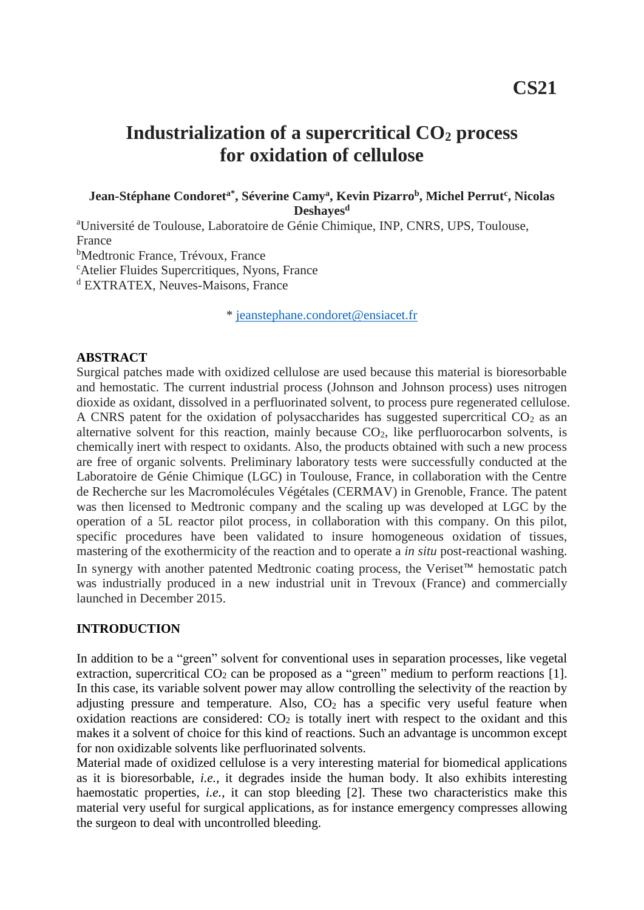# **Industrialization of a supercritical CO<sup>2</sup> process for oxidation of cellulose**

**Jean-Stéphane Condoreta\*, Séverine Camy<sup>a</sup> , Kevin Pizarro<sup>b</sup> , Michel Perrut<sup>c</sup> , Nicolas Deshayes<sup>d</sup>**

<sup>a</sup>Université de Toulouse, Laboratoire de Génie Chimique, INP, CNRS, UPS, Toulouse, France <sup>b</sup>Medtronic France, Trévoux, France <sup>c</sup>Atelier Fluides Supercritiques, Nyons, France

<sup>d</sup> EXTRATEX, Neuves-Maisons, France

\* [jeanstephane.condoret@ensiacet.fr](mailto:jeanstephane.condoret@ensiacet.fr)

#### **ABSTRACT**

Surgical patches made with oxidized cellulose are used because this material is bioresorbable and hemostatic. The current industrial process (Johnson and Johnson process) uses nitrogen dioxide as oxidant, dissolved in a perfluorinated solvent, to process pure regenerated cellulose. A CNRS patent for the oxidation of polysaccharides has suggested supercritical  $CO<sub>2</sub>$  as an alternative solvent for this reaction, mainly because  $CO<sub>2</sub>$ , like perfluorocarbon solvents, is chemically inert with respect to oxidants. Also, the products obtained with such a new process are free of organic solvents. Preliminary laboratory tests were successfully conducted at the Laboratoire de Génie Chimique (LGC) in Toulouse, France, in collaboration with the Centre de Recherche sur les Macromolécules Végétales (CERMAV) in Grenoble, France. The patent was then licensed to Medtronic company and the scaling up was developed at LGC by the operation of a 5L reactor pilot process, in collaboration with this company. On this pilot, specific procedures have been validated to insure homogeneous oxidation of tissues, mastering of the exothermicity of the reaction and to operate a *in situ* post-reactional washing. In synergy with another patented Medtronic coating process, the Veriset™ hemostatic patch was industrially produced in a new industrial unit in Trevoux (France) and commercially launched in December 2015.

#### **INTRODUCTION**

In addition to be a "green" solvent for conventional uses in separation processes, like vegetal extraction, supercritical  $CO<sub>2</sub>$  can be proposed as a "green" medium to perform reactions [1]. In this case, its variable solvent power may allow controlling the selectivity of the reaction by adjusting pressure and temperature. Also,  $CO<sub>2</sub>$  has a specific very useful feature when oxidation reactions are considered:  $CO<sub>2</sub>$  is totally inert with respect to the oxidant and this makes it a solvent of choice for this kind of reactions. Such an advantage is uncommon except for non oxidizable solvents like perfluorinated solvents.

Material made of oxidized cellulose is a very interesting material for biomedical applications as it is bioresorbable, *i.e.*, it degrades inside the human body. It also exhibits interesting haemostatic properties, *i.e.*, it can stop bleeding [2]. These two characteristics make this material very useful for surgical applications, as for instance emergency compresses allowing the surgeon to deal with uncontrolled bleeding.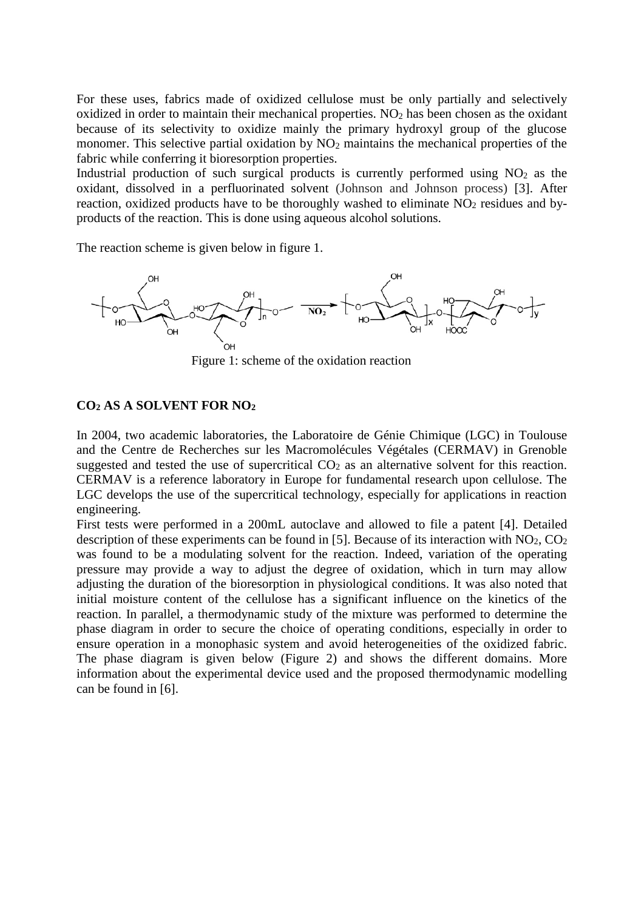For these uses, fabrics made of oxidized cellulose must be only partially and selectively oxidized in order to maintain their mechanical properties.  $NO<sub>2</sub>$  has been chosen as the oxidant because of its selectivity to oxidize mainly the primary hydroxyl group of the glucose monomer. This selective partial oxidation by  $NO<sub>2</sub>$  maintains the mechanical properties of the fabric while conferring it bioresorption properties.

Industrial production of such surgical products is currently performed using  $NO<sub>2</sub>$  as the oxidant, dissolved in a perfluorinated solvent (Johnson and Johnson process) [3]. After reaction, oxidized products have to be thoroughly washed to eliminate  $NO<sub>2</sub>$  residues and byproducts of the reaction. This is done using aqueous alcohol solutions.

The reaction scheme is given below in figure 1.



Figure 1: scheme of the oxidation reaction

#### **CO<sup>2</sup> AS A SOLVENT FOR NO<sup>2</sup>**

In 2004, two academic laboratories, the Laboratoire de Génie Chimique (LGC) in Toulouse and the Centre de Recherches sur les Macromolécules Végétales (CERMAV) in Grenoble suggested and tested the use of supercritical  $CO<sub>2</sub>$  as an alternative solvent for this reaction. CERMAV is a reference laboratory in Europe for fundamental research upon cellulose. The LGC develops the use of the supercritical technology, especially for applications in reaction engineering.

First tests were performed in a 200mL autoclave and allowed to file a patent [4]. Detailed description of these experiments can be found in [5]. Because of its interaction with  $NO<sub>2</sub>$ ,  $CO<sub>2</sub>$ was found to be a modulating solvent for the reaction. Indeed, variation of the operating pressure may provide a way to adjust the degree of oxidation, which in turn may allow adjusting the duration of the bioresorption in physiological conditions. It was also noted that initial moisture content of the cellulose has a significant influence on the kinetics of the reaction. In parallel, a thermodynamic study of the mixture was performed to determine the phase diagram in order to secure the choice of operating conditions, especially in order to ensure operation in a monophasic system and avoid heterogeneities of the oxidized fabric. The phase diagram is given below (Figure 2) and shows the different domains. More information about the experimental device used and the proposed thermodynamic modelling can be found in [6].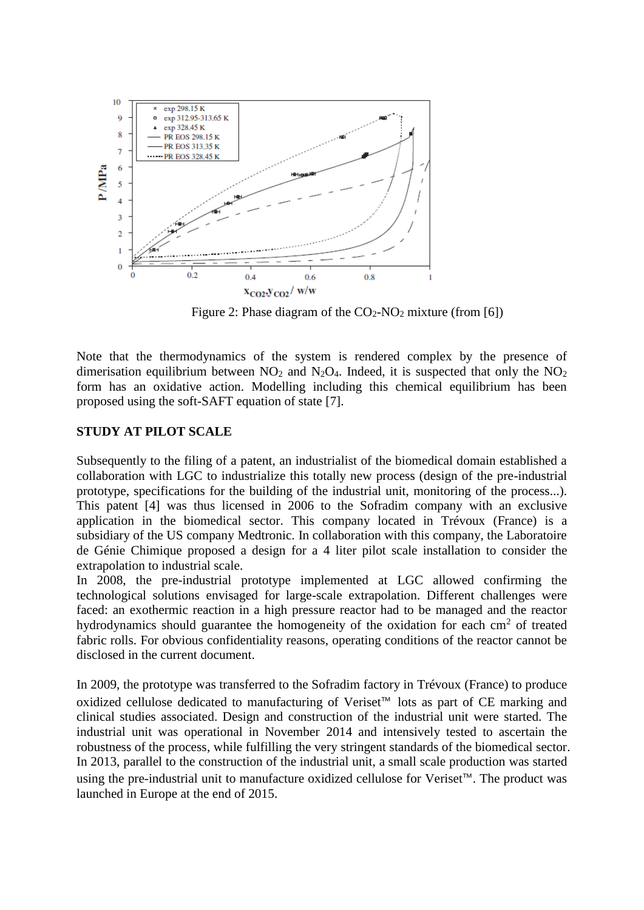

Figure 2: Phase diagram of the  $CO<sub>2</sub>-NO<sub>2</sub>$  mixture (from [6])

Note that the thermodynamics of the system is rendered complex by the presence of dimerisation equilibrium between  $NO<sub>2</sub>$  and  $N<sub>2</sub>O<sub>4</sub>$ . Indeed, it is suspected that only the  $NO<sub>2</sub>$ form has an oxidative action. Modelling including this chemical equilibrium has been proposed using the soft-SAFT equation of state [7].

### **STUDY AT PILOT SCALE**

Subsequently to the filing of a patent, an industrialist of the biomedical domain established a collaboration with LGC to industrialize this totally new process (design of the pre-industrial prototype, specifications for the building of the industrial unit, monitoring of the process...). This patent [4] was thus licensed in 2006 to the Sofradim company with an exclusive application in the biomedical sector. This company located in Trévoux (France) is a subsidiary of the US company Medtronic. In collaboration with this company, the Laboratoire de Génie Chimique proposed a design for a 4 liter pilot scale installation to consider the extrapolation to industrial scale.

In 2008, the pre-industrial prototype implemented at LGC allowed confirming the technological solutions envisaged for large-scale extrapolation. Different challenges were faced: an exothermic reaction in a high pressure reactor had to be managed and the reactor hydrodynamics should guarantee the homogeneity of the oxidation for each  $\text{cm}^2$  of treated fabric rolls. For obvious confidentiality reasons, operating conditions of the reactor cannot be disclosed in the current document.

In 2009, the prototype was transferred to the Sofradim factory in Trévoux (France) to produce oxidized cellulose dedicated to manufacturing of Veriset™ lots as part of CE marking and clinical studies associated. Design and construction of the industrial unit were started. The industrial unit was operational in November 2014 and intensively tested to ascertain the robustness of the process, while fulfilling the very stringent standards of the biomedical sector. In 2013, parallel to the construction of the industrial unit, a small scale production was started using the pre-industrial unit to manufacture oxidized cellulose for Veriset™. The product was launched in Europe at the end of 2015.